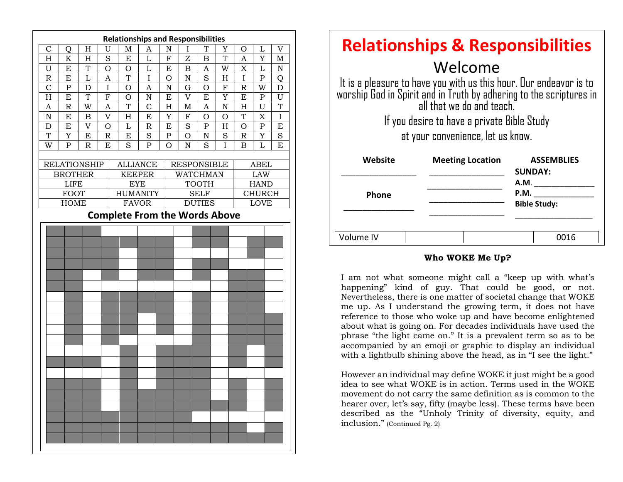

| <b>Relationships &amp; Responsibilities</b>                                                                                                                                                                                                                           |                         |                                            |
|-----------------------------------------------------------------------------------------------------------------------------------------------------------------------------------------------------------------------------------------------------------------------|-------------------------|--------------------------------------------|
| Welcome<br>It is a pleasure to have you with us this hour. Our endeavor is to<br>worship God in Spirit and in Truth by adhering to the scriptures in<br>all that we do and teach.<br>If you desire to have a private Bible Study<br>at your convenience, let us know. |                         |                                            |
| Website                                                                                                                                                                                                                                                               | <b>Meeting Location</b> | <b>ASSEMBLIES</b><br><b>SUNDAY:</b>        |
| Phone                                                                                                                                                                                                                                                                 |                         | <b>A.M.</b><br>P.M.<br><b>Bible Study:</b> |
| Volume IV                                                                                                                                                                                                                                                             |                         | 0016                                       |

#### **Who WOKE Me Up?**

me up. As I understand the growing term, it does not have I am not what someone might call a "keep up with what's happening" kind of guy. That could be good, or not. Nevertheless, there is one matter of societal change that WOKE reference to those who woke up and have become enlightened about what is going on. For decades individuals have used the phrase "the light came on." It is a prevalent term so as to be accompanied by an emoji or graphic to display an individual with a lightbulb shining above the head, as in "I see the light."

However an individual may define WOKE it just might be a good idea to see what WOKE is in action. Terms used in the WOKE movement do not carry the same definition as is common to the hearer over, let's say, fifty (maybe less). These terms have been described as the "Unholy Trinity of diversity, equity, and inclusion." (Continued Pg. 2)